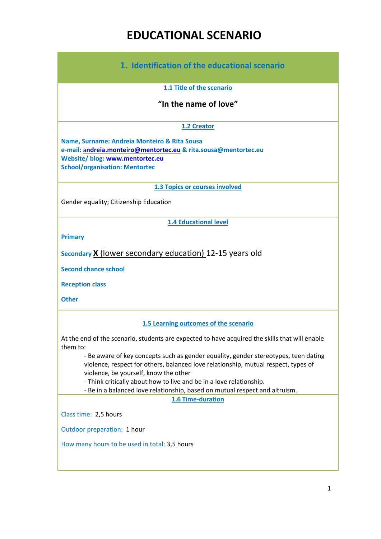# **EDUCATIONAL SCENARIO**

| 1. Identification of the educational scenario                                                                                                                                                                                                                                                                                                                                        |
|--------------------------------------------------------------------------------------------------------------------------------------------------------------------------------------------------------------------------------------------------------------------------------------------------------------------------------------------------------------------------------------|
| 1.1 Title of the scenario                                                                                                                                                                                                                                                                                                                                                            |
| "In the name of love"                                                                                                                                                                                                                                                                                                                                                                |
| 1.2 Creator                                                                                                                                                                                                                                                                                                                                                                          |
| Name, Surname: Andreia Monteiro & Rita Sousa<br>e-mail: andreia.monteiro@mentortec.eu & rita.sousa@mentortec.eu<br>Website/ blog: www.mentortec.eu<br><b>School/organisation: Mentortec</b>                                                                                                                                                                                          |
| <b>1.3 Topics or courses involved</b>                                                                                                                                                                                                                                                                                                                                                |
| Gender equality; Citizenship Education                                                                                                                                                                                                                                                                                                                                               |
| <b>1.4 Educational level</b>                                                                                                                                                                                                                                                                                                                                                         |
| <b>Primary</b>                                                                                                                                                                                                                                                                                                                                                                       |
| Secondary X (lower secondary education) 12-15 years old                                                                                                                                                                                                                                                                                                                              |
| <b>Second chance school</b>                                                                                                                                                                                                                                                                                                                                                          |
| <b>Reception class</b>                                                                                                                                                                                                                                                                                                                                                               |
| <b>Other</b>                                                                                                                                                                                                                                                                                                                                                                         |
| 1.5 Learning outcomes of the scenario                                                                                                                                                                                                                                                                                                                                                |
| At the end of the scenario, students are expected to have acquired the skills that will enable                                                                                                                                                                                                                                                                                       |
| them to:<br>- Be aware of key concepts such as gender equality, gender stereotypes, teen dating<br>violence, respect for others, balanced love relationship, mutual respect, types of<br>violence, be yourself, know the other<br>- Think critically about how to live and be in a love relationship.<br>- Be in a balanced love relationship, based on mutual respect and altruism. |
| <b>1.6 Time-duration</b>                                                                                                                                                                                                                                                                                                                                                             |
| Class time: 2,5 hours                                                                                                                                                                                                                                                                                                                                                                |
| Outdoor preparation: 1 hour                                                                                                                                                                                                                                                                                                                                                          |
| How many hours to be used in total: 3,5 hours                                                                                                                                                                                                                                                                                                                                        |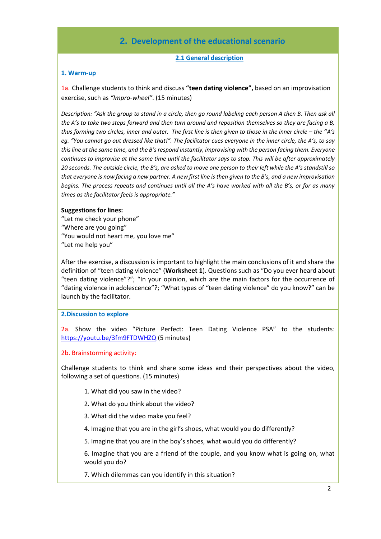# **2. Development of the educational scenario**

#### **2.1 General description**

#### **1. Warm-up**

1a. Challenge students to think and discuss **"teen dating violence",** based on an improvisation exercise, such as *"Impro-wheel"*. (15 minutes)

*Description: "Ask the group to stand in a circle, then go round labeling each person A then B. Then ask all the A's to take two steps forward and then turn around and reposition themselves so they are facing a B, thus forming two circles, inner and outer. The first line is then given to those in the inner circle – the "A's eg. "You cannot go out dressed like that!". The facilitator cues everyone in the inner circle, the A's, to say this line at the same time, and the B's respond instantly, improvising with the person facing them. Everyone continues to improvise at the same time until the facilitator says to stop. This will be after approximately 20 seconds. The outside circle, the B's, are asked to move one person to their left while the A's standstill so that everyone is now facing a new partner. A new first line is then given to the B's, and a new improvisation begins. The process repeats and continues until all the A's have worked with all the B's, or for as many times as the facilitator feels is appropriate."*

#### **Suggestions for lines:**

"Let me check your phone" "Where are you going" "You would not heart me, you love me" "Let me help you"

After the exercise, a discussion is important to highlight the main conclusions of it and share the definition of "teen dating violence" (**Worksheet 1**). Questions such as "Do you ever heard about "teen dating violence"?"; "In your opinion, which are the main factors for the occurrence of "dating violence in adolescence"?; "What types of "teen dating violence" do you know?" can be launch by the facilitator.

#### **2.Discussion to explore**

2a. Show the video "Picture Perfect: Teen Dating Violence PSA" to the students: <https://youtu.be/3fm9FTDWHZQ> (5 minutes)

#### 2b. Brainstorming activity:

Challenge students to think and share some ideas and their perspectives about the video, following a set of questions. (15 minutes)

- 1. What did you saw in the video?
- 2. What do you think about the video?
- 3. What did the video make you feel?
- 4. Imagine that you are in the girl's shoes, what would you do differently?
- 5. Imagine that you are in the boy's shoes, what would you do differently?

6. Imagine that you are a friend of the couple, and you know what is going on, what would you do?

7. Which dilemmas can you identify in this situation?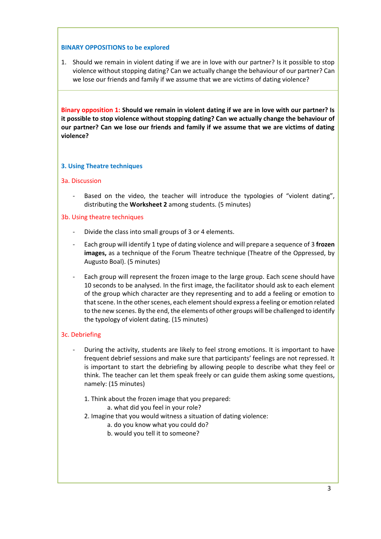### **BINARY OPPOSITIONS to be explored**

1. Should we remain in violent dating if we are in love with our partner? Is it possible to stop violence without stopping dating? Can we actually change the behaviour of our partner? Can we lose our friends and family if we assume that we are victims of dating violence?

**Binary opposition 1: Should we remain in violent dating if we are in love with our partner? Is it possible to stop violence without stopping dating? Can we actually change the behaviour of our partner? Can we lose our friends and family if we assume that we are victims of dating violence?**

#### **3. Using Theatre techniques**

#### 3a. Discussion

Based on the video, the teacher will introduce the typologies of "violent dating", distributing the **Worksheet 2** among students. (5 minutes)

#### 3b. Using theatre techniques

- Divide the class into small groups of 3 or 4 elements.
- Each group will identify 1 type of dating violence and will prepare a sequence of 3 **frozen images,** as a technique of the Forum Theatre technique (Theatre of the Oppressed, by Augusto Boal). (5 minutes)
- Each group will represent the frozen image to the large group. Each scene should have 10 seconds to be analysed. In the first image, the facilitator should ask to each element of the group which character are they representing and to add a feeling or emotion to that scene. In the other scenes, each element should express a feeling or emotion related to the new scenes. By the end, the elements of other groups will be challenged to identify the typology of violent dating. (15 minutes)

#### 3c. Debriefing

- During the activity, students are likely to feel strong emotions. It is important to have frequent debrief sessions and make sure that participants' feelings are not repressed. It is important to start the debriefing by allowing people to describe what they feel or think. The teacher can let them speak freely or can guide them asking some questions, namely: (15 minutes)
	- 1. Think about the frozen image that you prepared:
		- a. what did you feel in your role?
	- 2. Imagine that you would witness a situation of dating violence:
		- a. do you know what you could do?
		- b. would you tell it to someone?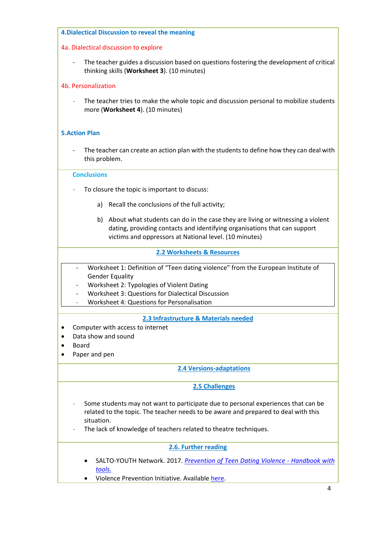#### **4.Dialectical Discussion to reveal the meaning**

#### 4a. Dialectical discussion to explore

The teacher guides a discussion based on questions fostering the development of critical thinking skills (**Worksheet 3**). (10 minutes)

### 4b. Personalization

The teacher tries to make the whole topic and discussion personal to mobilize students more (**Worksheet 4**). (10 minutes)

### **5.Action Plan**

The teacher can create an action plan with the students to define how they can deal with this problem.

#### **Conclusions**

- To closure the topic is important to discuss:
	- a) Recall the conclusions of the full activity;
	- b) About what students can do in the case they are living or witnessing a violent dating, providing contacts and identifying organisations that can support victims and oppressors at National level. (10 minutes)

#### **2.2 Worksheets & Resources**

- Worksheet 1: Definition of "Teen dating violence" from the European Institute of Gender Equality
- Worksheet 2: Typologies of Violent Dating
- Worksheet 3: Questions for Dialectical Discussion
- Worksheet 4: Questions for Personalisation

### **2.3 Infrastructure & Materials needed**

- Computer with access to internet
- Data show and sound
- Board
- Paper and pen

#### **2.4 Versions-adaptations**

### **2.5 Challenges**

- Some students may not want to participate due to personal experiences that can be related to the topic. The teacher needs to be aware and prepared to deal with this situation.
- The lack of knowledge of teachers related to theatre techniques.

### **2.6. Further reading**

- SALTO-YOUTH Network. 2017. *[Prevention of Teen Dating Violence -](https://www.salto-youth.net/tools/toolbox/tool/prevention-of-teen-dating-violence-handbook-with-tools.2124/) Handbook with [tools.](https://www.salto-youth.net/tools/toolbox/tool/prevention-of-teen-dating-violence-handbook-with-tools.2124/)*
- Violence Prevention Initiative. Availabl[e here.](https://www.gov.nl.ca/VPI/types/#1)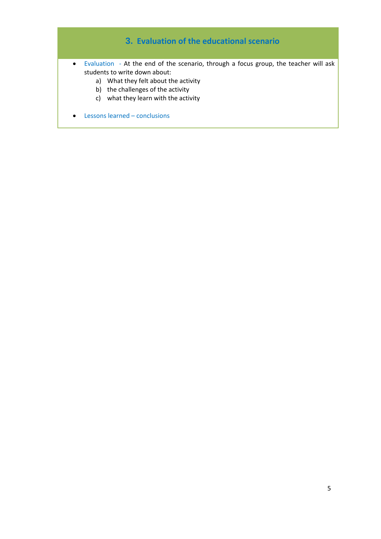# **3. Evaluation of the educational scenario**

- Evaluation At the end of the scenario, through a focus group, the teacher will ask students to write down about:
	- a) What they felt about the activity
	- b) the challenges of the activity
	- c) what they learn with the activity
- Lessons learned conclusions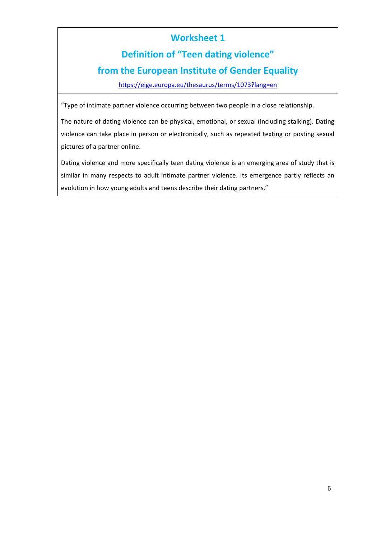# **Definition of "Teen dating violence"**

# **from the European Institute of Gender Equality**

<https://eige.europa.eu/thesaurus/terms/1073?lang=en>

"Type of intimate partner violence occurring between two people in a close relationship.

The nature of dating violence can be physical, emotional, or sexual (including stalking). Dating violence can take place in person or electronically, such as repeated texting or posting sexual pictures of a partner online.

Dating violence and more specifically teen dating violence is an emerging area of study that is similar in many respects to adult intimate partner violence. Its emergence partly reflects an evolution in how young adults and teens describe their dating partners."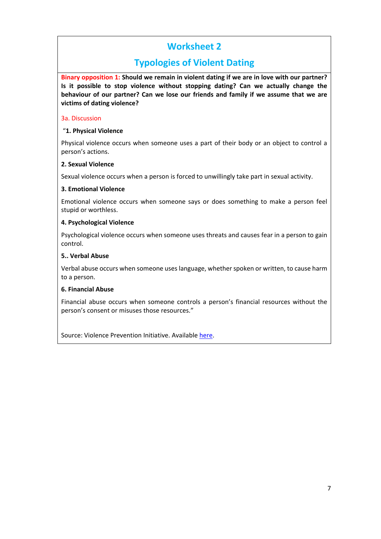# **Typologies of Violent Dating**

**Binary opposition 1: Should we remain in violent dating if we are in love with our partner? Is it possible to stop violence without stopping dating? Can we actually change the behaviour of our partner? Can we lose our friends and family if we assume that we are victims of dating violence?**

### 3a. Discussion

# "**1. Physical Violence**

Physical violence occurs when someone uses a part of their body or an object to control a person's actions.

# **2. Sexual Violence**

Sexual violence occurs when a person is forced to unwillingly take part in sexual activity.

# **3. Emotional Violence**

Emotional violence occurs when someone says or does something to make a person feel stupid or worthless.

# **4. Psychological Violence**

Psychological violence occurs when someone uses threats and causes fear in a person to gain control.

# **5.. Verbal Abuse**

Verbal abuse occurs when someone uses language, whether spoken or written, to cause harm to a person.

# **6. Financial Abuse**

Financial abuse occurs when someone controls a person's financial resources without the person's consent or misuses those resources."

Source: Violence Prevention Initiative. Available [here.](https://www.gov.nl.ca/VPI/types/#1)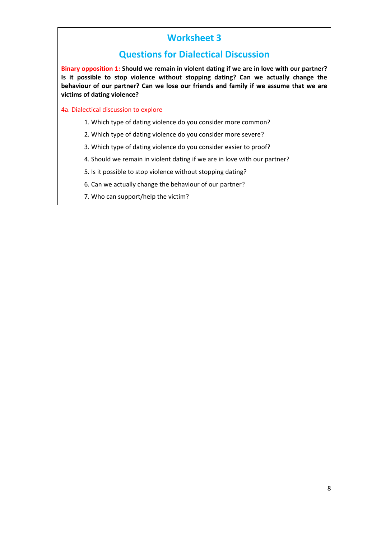# **Questions for Dialectical Discussion**

**Binary opposition 1: Should we remain in violent dating if we are in love with our partner? Is it possible to stop violence without stopping dating? Can we actually change the behaviour of our partner? Can we lose our friends and family if we assume that we are victims of dating violence?**

- 4a. Dialectical discussion to explore
	- 1. Which type of dating violence do you consider more common?
	- 2. Which type of dating violence do you consider more severe?
	- 3. Which type of dating violence do you consider easier to proof?
	- 4. Should we remain in violent dating if we are in love with our partner?
	- 5. Is it possible to stop violence without stopping dating?
	- 6. Can we actually change the behaviour of our partner?
	- 7. Who can support/help the victim?